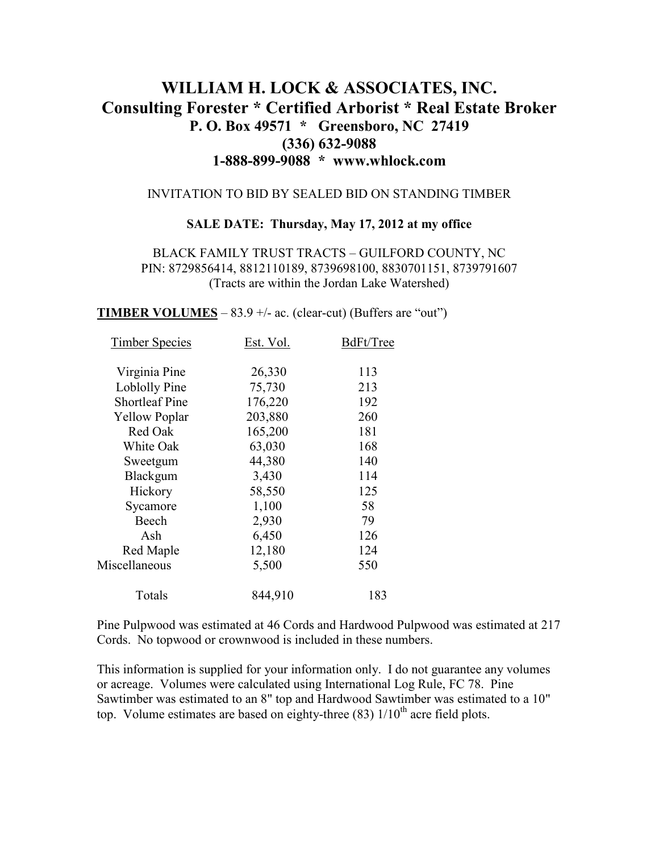# **WILLIAM H. LOCK & ASSOCIATES, INC. Consulting Forester \* Certified Arborist \* Real Estate Broker P. O. Box 49571 \* Greensboro, NC 27419 (336) 632-9088 1-888-899-9088 \* www.whlock.com**

#### INVITATION TO BID BY SEALED BID ON STANDING TIMBER

#### **SALE DATE: Thursday, May 17, 2012 at my office**

BLACK FAMILY TRUST TRACTS – GUILFORD COUNTY, NC PIN: 8729856414, 8812110189, 8739698100, 8830701151, 8739791607 (Tracts are within the Jordan Lake Watershed)

**TIMBER VOLUMES** –  $83.9$  +/- ac. (clear-cut) (Buffers are "out")

| Est. Vol. | BdFt/Tree |
|-----------|-----------|
| 26,330    | 113       |
| 75,730    | 213       |
| 176,220   | 192       |
| 203,880   | 260       |
| 165,200   | 181       |
| 63,030    | 168       |
| 44,380    | 140       |
| 3,430     | 114       |
| 58,550    | 125       |
| 1,100     | 58        |
| 2,930     | 79        |
| 6,450     | 126       |
| 12,180    | 124       |
| 5,500     | 550       |
| 844,910   | 183       |
|           |           |

Pine Pulpwood was estimated at 46 Cords and Hardwood Pulpwood was estimated at 217 Cords. No topwood or crownwood is included in these numbers.

This information is supplied for your information only. I do not guarantee any volumes or acreage. Volumes were calculated using International Log Rule, FC 78. Pine Sawtimber was estimated to an 8" top and Hardwood Sawtimber was estimated to a 10" top. Volume estimates are based on eighty-three  $(83)$  1/10<sup>th</sup> acre field plots.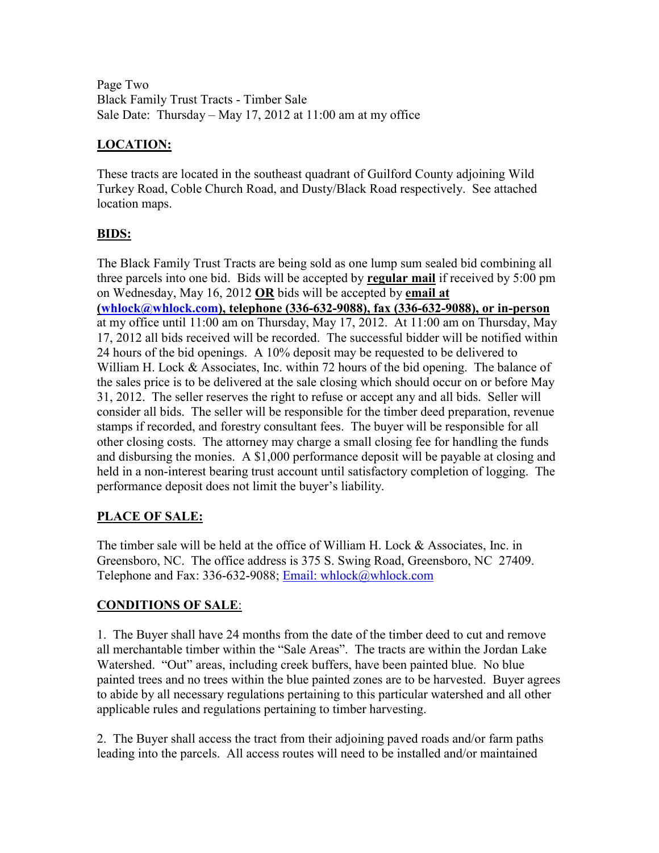Page Two Black Family Trust Tracts - Timber Sale Sale Date: Thursday – May 17, 2012 at 11:00 am at my office

# **LOCATION:**

These tracts are located in the southeast quadrant of Guilford County adjoining Wild Turkey Road, Coble Church Road, and Dusty/Black Road respectively. See attached location maps.

### **BIDS:**

The Black Family Trust Tracts are being sold as one lump sum sealed bid combining all three parcels into one bid. Bids will be accepted by **regular mail** if received by 5:00 pm on Wednesday, May 16, 2012 **OR** bids will be accepted by **email at (whlock@whlock.com), telephone (336-632-9088), fax (336-632-9088), or in-person** at my office until 11:00 am on Thursday, May 17, 2012. At 11:00 am on Thursday, May 17, 2012 all bids received will be recorded. The successful bidder will be notified within 24 hours of the bid openings. A 10% deposit may be requested to be delivered to William H. Lock & Associates, Inc. within 72 hours of the bid opening. The balance of the sales price is to be delivered at the sale closing which should occur on or before May 31, 2012. The seller reserves the right to refuse or accept any and all bids. Seller will consider all bids. The seller will be responsible for the timber deed preparation, revenue stamps if recorded, and forestry consultant fees. The buyer will be responsible for all other closing costs. The attorney may charge a small closing fee for handling the funds and disbursing the monies. A \$1,000 performance deposit will be payable at closing and held in a non-interest bearing trust account until satisfactory completion of logging. The performance deposit does not limit the buyer's liability.

# **PLACE OF SALE:**

The timber sale will be held at the office of William H. Lock & Associates, Inc. in Greensboro, NC. The office address is 375 S. Swing Road, Greensboro, NC 27409. Telephone and Fax: 336-632-9088; Email: whlock@whlock.com

### **CONDITIONS OF SALE**:

1. The Buyer shall have 24 months from the date of the timber deed to cut and remove all merchantable timber within the "Sale Areas". The tracts are within the Jordan Lake Watershed. "Out" areas, including creek buffers, have been painted blue. No blue painted trees and no trees within the blue painted zones are to be harvested. Buyer agrees to abide by all necessary regulations pertaining to this particular watershed and all other applicable rules and regulations pertaining to timber harvesting.

2. The Buyer shall access the tract from their adjoining paved roads and/or farm paths leading into the parcels. All access routes will need to be installed and/or maintained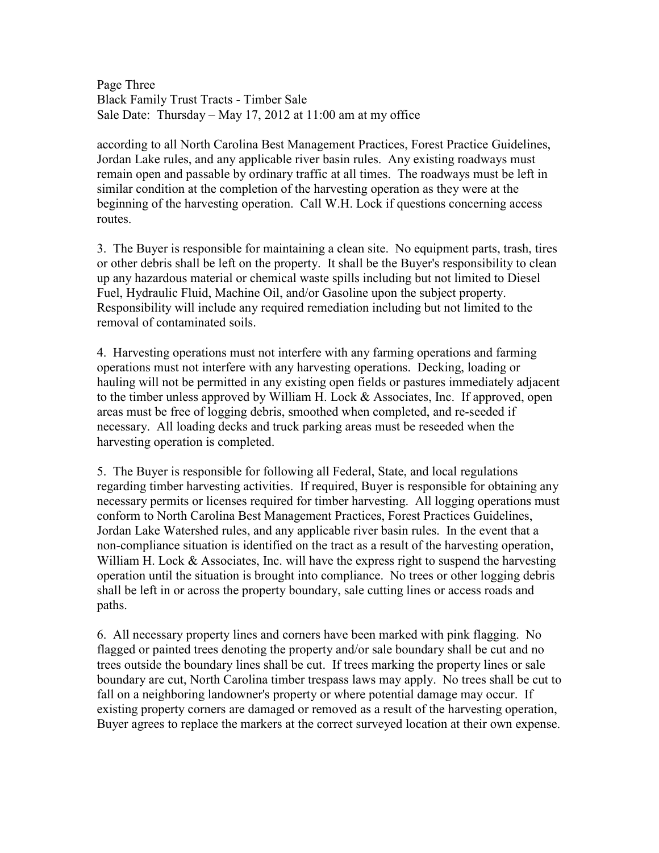Page Three Black Family Trust Tracts - Timber Sale Sale Date: Thursday – May 17, 2012 at 11:00 am at my office

according to all North Carolina Best Management Practices, Forest Practice Guidelines, Jordan Lake rules, and any applicable river basin rules. Any existing roadways must remain open and passable by ordinary traffic at all times. The roadways must be left in similar condition at the completion of the harvesting operation as they were at the beginning of the harvesting operation. Call W.H. Lock if questions concerning access routes.

3. The Buyer is responsible for maintaining a clean site. No equipment parts, trash, tires or other debris shall be left on the property. It shall be the Buyer's responsibility to clean up any hazardous material or chemical waste spills including but not limited to Diesel Fuel, Hydraulic Fluid, Machine Oil, and/or Gasoline upon the subject property. Responsibility will include any required remediation including but not limited to the removal of contaminated soils.

4. Harvesting operations must not interfere with any farming operations and farming operations must not interfere with any harvesting operations. Decking, loading or hauling will not be permitted in any existing open fields or pastures immediately adjacent to the timber unless approved by William H. Lock & Associates, Inc. If approved, open areas must be free of logging debris, smoothed when completed, and re-seeded if necessary. All loading decks and truck parking areas must be reseeded when the harvesting operation is completed.

5. The Buyer is responsible for following all Federal, State, and local regulations regarding timber harvesting activities. If required, Buyer is responsible for obtaining any necessary permits or licenses required for timber harvesting. All logging operations must conform to North Carolina Best Management Practices, Forest Practices Guidelines, Jordan Lake Watershed rules, and any applicable river basin rules. In the event that a non-compliance situation is identified on the tract as a result of the harvesting operation, William H. Lock & Associates, Inc. will have the express right to suspend the harvesting operation until the situation is brought into compliance. No trees or other logging debris shall be left in or across the property boundary, sale cutting lines or access roads and paths.

6. All necessary property lines and corners have been marked with pink flagging. No flagged or painted trees denoting the property and/or sale boundary shall be cut and no trees outside the boundary lines shall be cut. If trees marking the property lines or sale boundary are cut, North Carolina timber trespass laws may apply. No trees shall be cut to fall on a neighboring landowner's property or where potential damage may occur. If existing property corners are damaged or removed as a result of the harvesting operation, Buyer agrees to replace the markers at the correct surveyed location at their own expense.